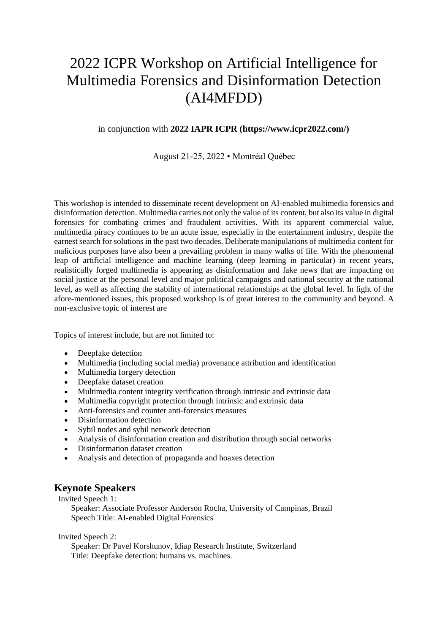# 2022 ICPR Workshop on Artificial Intelligence for Multimedia Forensics and Disinformation Detection (AI4MFDD)

#### in conjunction with **2022 IAPR ICPR (https://www.icpr2022.com/)**

August 21-25, 2022 • Montréal Québec

This workshop is intended to disseminate recent development on AI-enabled multimedia forensics and disinformation detection. Multimedia carries not only the value of its content, but also its value in digital forensics for combating crimes and fraudulent activities. With its apparent commercial value, multimedia piracy continues to be an acute issue, especially in the entertainment industry, despite the earnest search for solutions in the past two decades. Deliberate manipulations of multimedia content for malicious purposes have also been a prevailing problem in many walks of life. With the phenomenal leap of artificial intelligence and machine learning (deep learning in particular) in recent years, realistically forged multimedia is appearing as disinformation and fake news that are impacting on social justice at the personal level and major political campaigns and national security at the national level, as well as affecting the stability of international relationships at the global level. In light of the afore-mentioned issues, this proposed workshop is of great interest to the community and beyond. A non-exclusive topic of interest are

Topics of interest include, but are not limited to:

- Deepfake detection
- Multimedia (including social media) provenance attribution and identification
- Multimedia forgery detection
- Deepfake dataset creation
- Multimedia content integrity verification through intrinsic and extrinsic data
- Multimedia copyright protection through intrinsic and extrinsic data
- Anti-forensics and counter anti-forensics measures
- Disinformation detection
- Sybil nodes and sybil network detection
- Analysis of disinformation creation and distribution through social networks
- Disinformation dataset creation
- Analysis and detection of propaganda and hoaxes detection

#### **Keynote Speakers**

Invited Speech 1:

Speaker: Associate Professor Anderson Rocha, University of Campinas, Brazil Speech Title: AI-enabled Digital Forensics

Invited Speech 2:

Speaker: Dr Pavel Korshunov, Idiap Research Institute, Switzerland Title: Deepfake detection: humans vs. machines.